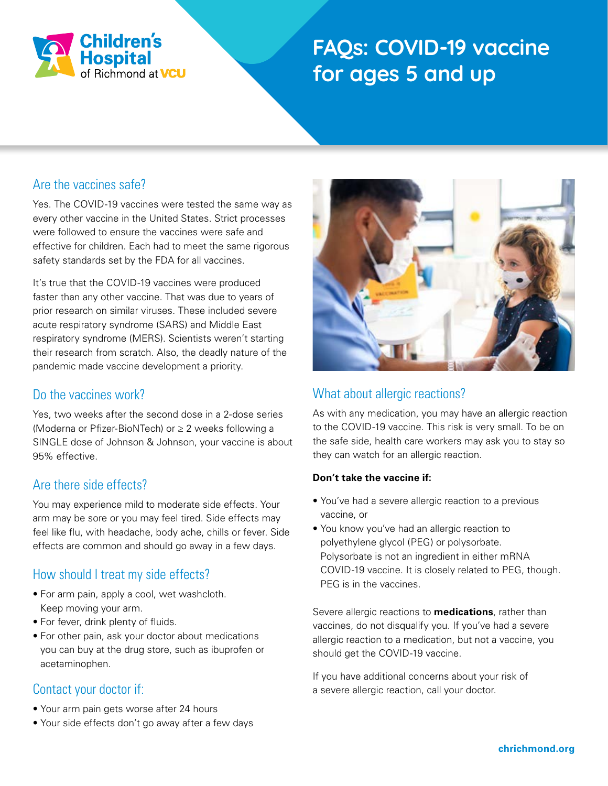

# **FAQs: COVID-19 vaccine for ages 5 and up**

#### Are the vaccines safe?

Yes. The COVID-19 vaccines were tested the same way as every other vaccine in the United States. Strict processes were followed to ensure the vaccines were safe and effective for children. Each had to meet the same rigorous safety standards set by the FDA for all vaccines.

It's true that the COVID-19 vaccines were produced faster than any other vaccine. That was due to years of prior research on similar viruses. These included severe acute respiratory syndrome (SARS) and Middle East respiratory syndrome (MERS). Scientists weren't starting their research from scratch. Also, the deadly nature of the pandemic made vaccine development a priority.

#### Do the vaccines work?

Yes, two weeks after the second dose in a 2-dose series (Moderna or Pfizer-BioNTech) or ≥ 2 weeks following a SINGLE dose of Johnson & Johnson, your vaccine is about 95% effective.

#### Are there side effects?

You may experience mild to moderate side effects. Your arm may be sore or you may feel tired. Side effects may feel like flu, with headache, body ache, chills or fever. Side effects are common and should go away in a few days.

## How should I treat my side effects?

- For arm pain, apply a cool, wet washcloth. Keep moving your arm.
- For fever, drink plenty of fluids.
- For other pain, ask your doctor about medications you can buy at the drug store, such as ibuprofen or acetaminophen.

## Contact your doctor if:

- Your arm pain gets worse after 24 hours
- Your side effects don't go away after a few days



# What about allergic reactions?

As with any medication, you may have an allergic reaction to the COVID-19 vaccine. This risk is very small. To be on the safe side, health care workers may ask you to stay so they can watch for an allergic reaction.

#### **Don't take the vaccine if:**

- You've had a severe allergic reaction to a previous vaccine, or
- You know you've had an allergic reaction to polyethylene glycol (PEG) or polysorbate. Polysorbate is not an ingredient in either mRNA COVID-19 vaccine. It is closely related to PEG, though. PEG is in the vaccines.

Severe allergic reactions to **medications**, rather than vaccines, do not disqualify you. If you've had a severe allergic reaction to a medication, but not a vaccine, you should get the COVID-19 vaccine.

If you have additional concerns about your risk of a severe allergic reaction, call your doctor.